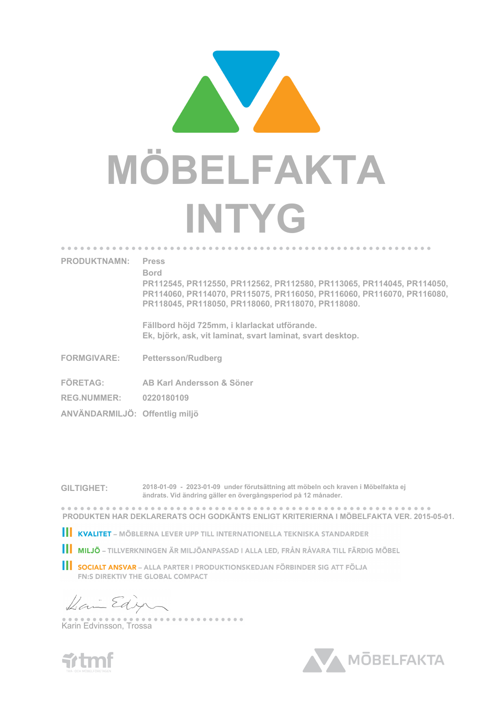

## **PRODUKTNAMN: Press**

**Bord**

**PR112545, PR112550, PR112562, PR112580, PR113065, PR114045, PR114050, PR114060, PR114070, PR115075, PR116050, PR116060, PR116070, PR116080, PR118045, PR118050, PR118060, PR118070, PR118080.**

**Fällbord höjd 725mm, i klarlackat utförande. Ek, björk, ask, vit laminat, svart laminat, svart desktop.**

- **FORMGIVARE: Pettersson/Rudberg**
- **FÖRETAG: AB Karl Andersson & Söner**
- **REG.NUMMER: 0220180109**
- **ANVÄNDARMILJÖ: Offentlig miljö**

**GILTIGHET: 2018-01-09 - 2023-01-09 under förutsättning att möbeln och kraven i Möbelfakta ej ändrats. Vid ändring gäller en övergångsperiod på 12 månader.**

**PRODUKTEN HAR DEKLARERATS OCH GODKÄNTS ENLIGT KRITERIERNA I MÖBELFAKTA VER. 2015-05-01.**

- KVALITET MÖBLERNA LEVER UPP TILL INTERNATIONELLA TEKNISKA STANDARDER
- **III MILJÖ** TILLVERKNINGEN ÄR MILJÖANPASSAD I ALLA LED, FRÅN RÅVARA TILL FÄRDIG MÖBEL
- **SOCIALT ANSVAR** ALLA PARTER I PRODUKTIONSKEDJAN FÖRBINDER SIG ATT FÖLJA **FN:S DIREKTIV THE GLOBAL COMPACT**

-------------

Dai Edy

Karin Edvinsson, Trossa